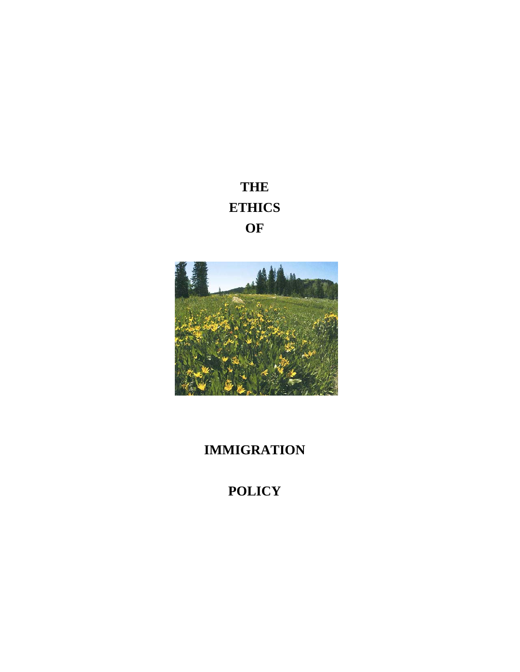**THE ETHICS OF** 



## **IMMIGRATION**

# **POLICY**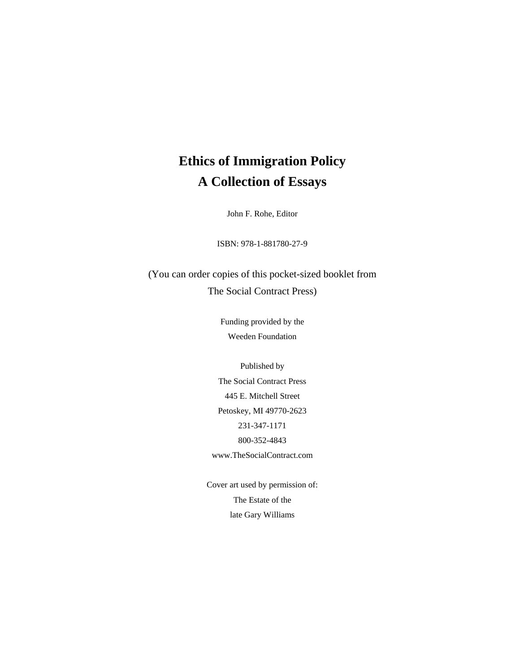## **Ethics of Immigration Policy A Collection of Essays**

John F. Rohe, Editor

ISBN: 978-1-881780-27-9

(You can order copies of this pocket-sized booklet from The Social Contract Press)

> Funding provided by the Weeden Foundation

Published by The Social Contract Press 445 E. Mitchell Street Petoskey, MI 49770-2623 231-347-1171 800-352-4843 www.TheSocialContract.com

Cover art used by permission of: The Estate of the late Gary Williams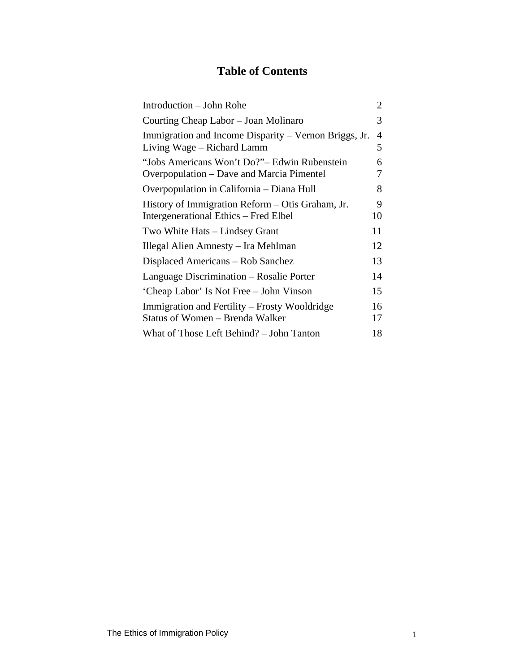## **Table of Contents**

| Introduction - John Rohe                                                                  | 2        |
|-------------------------------------------------------------------------------------------|----------|
| Courting Cheap Labor – Joan Molinaro                                                      | 3        |
| Immigration and Income Disparity – Vernon Briggs, Jr.<br>Living Wage – Richard Lamm       | 4<br>5   |
| "Jobs Americans Won't Do?"- Edwin Rubenstein<br>Overpopulation – Dave and Marcia Pimentel | 6<br>7   |
| Overpopulation in California – Diana Hull                                                 | 8        |
| History of Immigration Reform – Otis Graham, Jr.<br>Intergenerational Ethics – Fred Elbel | 9<br>10  |
| Two White Hats – Lindsey Grant                                                            | 11       |
| Illegal Alien Amnesty – Ira Mehlman                                                       | 12       |
| Displaced Americans – Rob Sanchez                                                         | 13       |
| Language Discrimination – Rosalie Porter                                                  | 14       |
| 'Cheap Labor' Is Not Free – John Vinson                                                   | 15       |
| Immigration and Fertility – Frosty Wooldridge<br>Status of Women - Brenda Walker          | 16<br>17 |
| What of Those Left Behind? – John Tanton                                                  | 18       |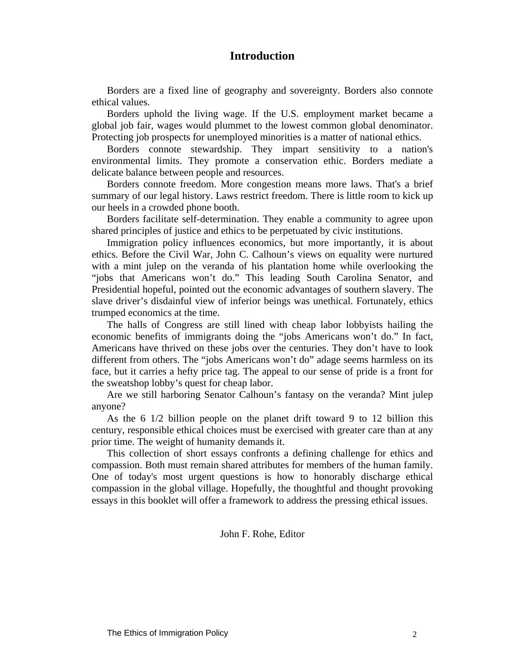## **Introduction**

Borders are a fixed line of geography and sovereignty. Borders also connote ethical values.

Borders uphold the living wage. If the U.S. employment market became a global job fair, wages would plummet to the lowest common global denominator. Protecting job prospects for unemployed minorities is a matter of national ethics.

Borders connote stewardship. They impart sensitivity to a nation's environmental limits. They promote a conservation ethic. Borders mediate a delicate balance between people and resources.

Borders connote freedom. More congestion means more laws. That's a brief summary of our legal history. Laws restrict freedom. There is little room to kick up our heels in a crowded phone booth.

Borders facilitate self-determination. They enable a community to agree upon shared principles of justice and ethics to be perpetuated by civic institutions.

Immigration policy influences economics, but more importantly, it is about ethics. Before the Civil War, John C. Calhoun's views on equality were nurtured with a mint julep on the veranda of his plantation home while overlooking the "jobs that Americans won't do." This leading South Carolina Senator, and Presidential hopeful, pointed out the economic advantages of southern slavery. The slave driver's disdainful view of inferior beings was unethical. Fortunately, ethics trumped economics at the time.

The halls of Congress are still lined with cheap labor lobbyists hailing the economic benefits of immigrants doing the "jobs Americans won't do." In fact, Americans have thrived on these jobs over the centuries. They don't have to look different from others. The "jobs Americans won't do" adage seems harmless on its face, but it carries a hefty price tag. The appeal to our sense of pride is a front for the sweatshop lobby's quest for cheap labor.

Are we still harboring Senator Calhoun's fantasy on the veranda? Mint julep anyone?

As the 6 1/2 billion people on the planet drift toward 9 to 12 billion this century, responsible ethical choices must be exercised with greater care than at any prior time. The weight of humanity demands it.

This collection of short essays confronts a defining challenge for ethics and compassion. Both must remain shared attributes for members of the human family. One of today's most urgent questions is how to honorably discharge ethical compassion in the global village. Hopefully, the thoughtful and thought provoking essays in this booklet will offer a framework to address the pressing ethical issues.

John F. Rohe, Editor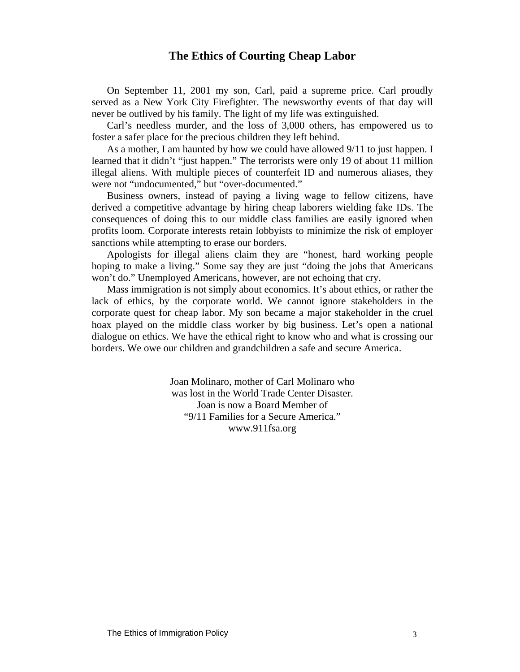## **The Ethics of Courting Cheap Labor**

On September 11, 2001 my son, Carl, paid a supreme price. Carl proudly served as a New York City Firefighter. The newsworthy events of that day will never be outlived by his family. The light of my life was extinguished.

Carl's needless murder, and the loss of 3,000 others, has empowered us to foster a safer place for the precious children they left behind.

As a mother, I am haunted by how we could have allowed 9/11 to just happen. I learned that it didn't "just happen." The terrorists were only 19 of about 11 million illegal aliens. With multiple pieces of counterfeit ID and numerous aliases, they were not "undocumented," but "over-documented."

Business owners, instead of paying a living wage to fellow citizens, have derived a competitive advantage by hiring cheap laborers wielding fake IDs. The consequences of doing this to our middle class families are easily ignored when profits loom. Corporate interests retain lobbyists to minimize the risk of employer sanctions while attempting to erase our borders.

Apologists for illegal aliens claim they are "honest, hard working people hoping to make a living." Some say they are just "doing the jobs that Americans won't do." Unemployed Americans, however, are not echoing that cry.

Mass immigration is not simply about economics. It's about ethics, or rather the lack of ethics, by the corporate world. We cannot ignore stakeholders in the corporate quest for cheap labor. My son became a major stakeholder in the cruel hoax played on the middle class worker by big business. Let's open a national dialogue on ethics. We have the ethical right to know who and what is crossing our borders. We owe our children and grandchildren a safe and secure America.

> Joan Molinaro, mother of Carl Molinaro who was lost in the World Trade Center Disaster. Joan is now a Board Member of "9/11 Families for a Secure America." www.911fsa.org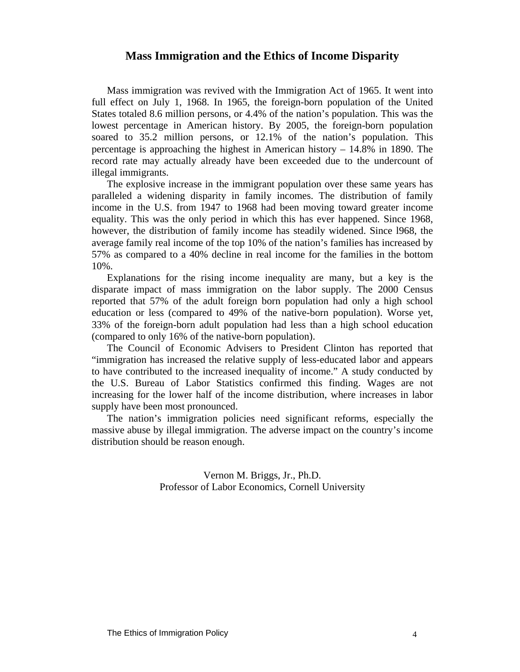## **Mass Immigration and the Ethics of Income Disparity**

Mass immigration was revived with the Immigration Act of 1965. It went into full effect on July 1, 1968. In 1965, the foreign-born population of the United States totaled 8.6 million persons, or 4.4% of the nation's population. This was the lowest percentage in American history. By 2005, the foreign-born population soared to 35.2 million persons, or 12.1% of the nation's population. This percentage is approaching the highest in American history – 14.8% in 1890. The record rate may actually already have been exceeded due to the undercount of illegal immigrants.

The explosive increase in the immigrant population over these same years has paralleled a widening disparity in family incomes. The distribution of family income in the U.S. from 1947 to 1968 had been moving toward greater income equality. This was the only period in which this has ever happened. Since 1968, however, the distribution of family income has steadily widened. Since l968, the average family real income of the top 10% of the nation's families has increased by 57% as compared to a 40% decline in real income for the families in the bottom 10%.

Explanations for the rising income inequality are many, but a key is the disparate impact of mass immigration on the labor supply. The 2000 Census reported that 57% of the adult foreign born population had only a high school education or less (compared to 49% of the native-born population). Worse yet, 33% of the foreign-born adult population had less than a high school education (compared to only 16% of the native-born population).

The Council of Economic Advisers to President Clinton has reported that "immigration has increased the relative supply of less-educated labor and appears to have contributed to the increased inequality of income." A study conducted by the U.S. Bureau of Labor Statistics confirmed this finding. Wages are not increasing for the lower half of the income distribution, where increases in labor supply have been most pronounced.

The nation's immigration policies need significant reforms, especially the massive abuse by illegal immigration. The adverse impact on the country's income distribution should be reason enough.

> Vernon M. Briggs, Jr., Ph.D. Professor of Labor Economics, Cornell University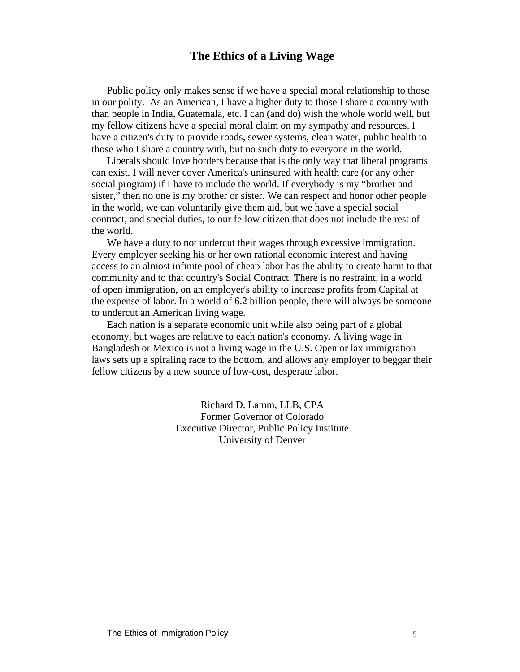## **The Ethics of a Living Wage**

Public policy only makes sense if we have a special moral relationship to those in our polity. As an American, I have a higher duty to those I share a country with than people in India, Guatemala, etc. I can (and do) wish the whole world well, but my fellow citizens have a special moral claim on my sympathy and resources. I have a citizen's duty to provide roads, sewer systems, clean water, public health to those who I share a country with, but no such duty to everyone in the world.

Liberals should love borders because that is the only way that liberal programs can exist. I will never cover America's uninsured with health care (or any other social program) if I have to include the world. If everybody is my "brother and sister," then no one is my brother or sister. We can respect and honor other people in the world, we can voluntarily give them aid, but we have a special social contract, and special duties, to our fellow citizen that does not include the rest of the world.

We have a duty to not undercut their wages through excessive immigration. Every employer seeking his or her own rational economic interest and having access to an almost infinite pool of cheap labor has the ability to create harm to that community and to that country's Social Contract. There is no restraint, in a world of open immigration, on an employer's ability to increase profits from Capital at the expense of labor. In a world of 6.2 billion people, there will always be someone to undercut an American living wage.

Each nation is a separate economic unit while also being part of a global economy, but wages are relative to each nation's economy. A living wage in Bangladesh or Mexico is not a living wage in the U.S. Open or lax immigration laws sets up a spiraling race to the bottom, and allows any employer to beggar their fellow citizens by a new source of low-cost, desperate labor.

> Richard D. Lamm, LLB, CPA Former Governor of Colorado Executive Director, Public Policy Institute University of Denver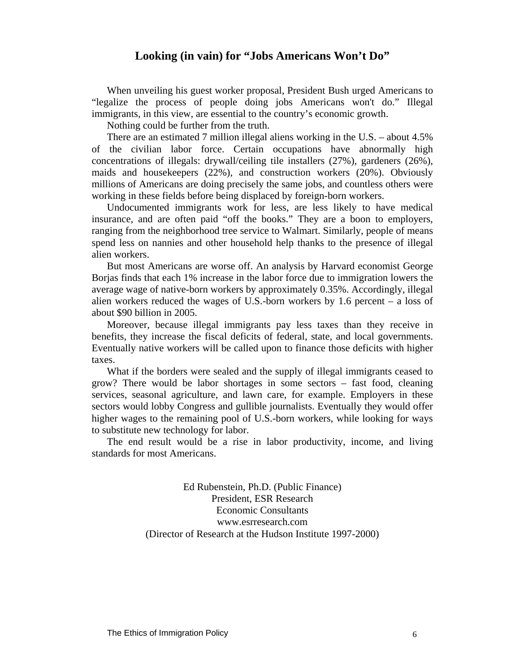## **Looking (in vain) for "Jobs Americans Won't Do"**

When unveiling his guest worker proposal, President Bush urged Americans to "legalize the process of people doing jobs Americans won't do." Illegal immigrants, in this view, are essential to the country's economic growth.

Nothing could be further from the truth.

There are an estimated 7 million illegal aliens working in the U.S. – about 4.5% of the civilian labor force. Certain occupations have abnormally high concentrations of illegals: drywall/ceiling tile installers (27%), gardeners (26%), maids and housekeepers (22%), and construction workers (20%). Obviously millions of Americans are doing precisely the same jobs, and countless others were working in these fields before being displaced by foreign-born workers.

Undocumented immigrants work for less, are less likely to have medical insurance, and are often paid "off the books." They are a boon to employers, ranging from the neighborhood tree service to Walmart. Similarly, people of means spend less on nannies and other household help thanks to the presence of illegal alien workers.

But most Americans are worse off. An analysis by Harvard economist George Borjas finds that each 1% increase in the labor force due to immigration lowers the average wage of native-born workers by approximately 0.35%. Accordingly, illegal alien workers reduced the wages of U.S.-born workers by 1.6 percent – a loss of about \$90 billion in 2005.

Moreover, because illegal immigrants pay less taxes than they receive in benefits, they increase the fiscal deficits of federal, state, and local governments. Eventually native workers will be called upon to finance those deficits with higher taxes.

What if the borders were sealed and the supply of illegal immigrants ceased to grow? There would be labor shortages in some sectors – fast food, cleaning services, seasonal agriculture, and lawn care, for example. Employers in these sectors would lobby Congress and gullible journalists. Eventually they would offer higher wages to the remaining pool of U.S.-born workers, while looking for ways to substitute new technology for labor.

The end result would be a rise in labor productivity, income, and living standards for most Americans.

> Ed Rubenstein, Ph.D. (Public Finance) President, ESR Research Economic Consultants www.esrresearch.com (Director of Research at the Hudson Institute 1997-2000)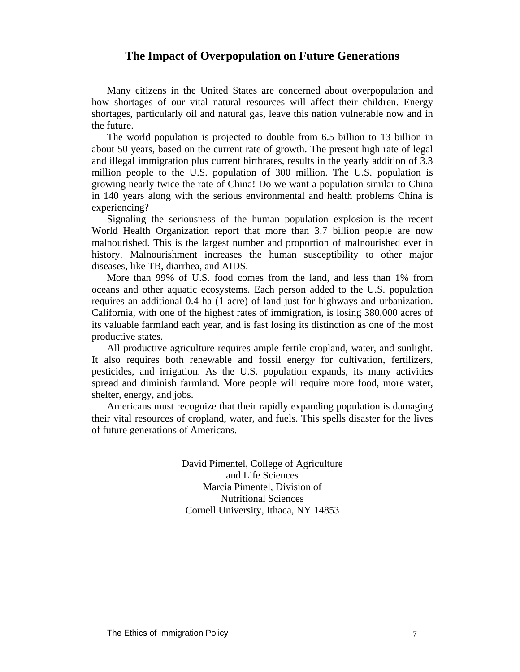## **The Impact of Overpopulation on Future Generations**

Many citizens in the United States are concerned about overpopulation and how shortages of our vital natural resources will affect their children. Energy shortages, particularly oil and natural gas, leave this nation vulnerable now and in the future.

The world population is projected to double from 6.5 billion to 13 billion in about 50 years, based on the current rate of growth. The present high rate of legal and illegal immigration plus current birthrates, results in the yearly addition of 3.3 million people to the U.S. population of 300 million. The U.S. population is growing nearly twice the rate of China! Do we want a population similar to China in 140 years along with the serious environmental and health problems China is experiencing?

Signaling the seriousness of the human population explosion is the recent World Health Organization report that more than 3.7 billion people are now malnourished. This is the largest number and proportion of malnourished ever in history. Malnourishment increases the human susceptibility to other major diseases, like TB, diarrhea, and AIDS.

More than 99% of U.S. food comes from the land, and less than 1% from oceans and other aquatic ecosystems. Each person added to the U.S. population requires an additional 0.4 ha (1 acre) of land just for highways and urbanization. California, with one of the highest rates of immigration, is losing 380,000 acres of its valuable farmland each year, and is fast losing its distinction as one of the most productive states.

All productive agriculture requires ample fertile cropland, water, and sunlight. It also requires both renewable and fossil energy for cultivation, fertilizers, pesticides, and irrigation. As the U.S. population expands, its many activities spread and diminish farmland. More people will require more food, more water, shelter, energy, and jobs.

Americans must recognize that their rapidly expanding population is damaging their vital resources of cropland, water, and fuels. This spells disaster for the lives of future generations of Americans.

> David Pimentel, College of Agriculture and Life Sciences Marcia Pimentel, Division of Nutritional Sciences Cornell University, Ithaca, NY 14853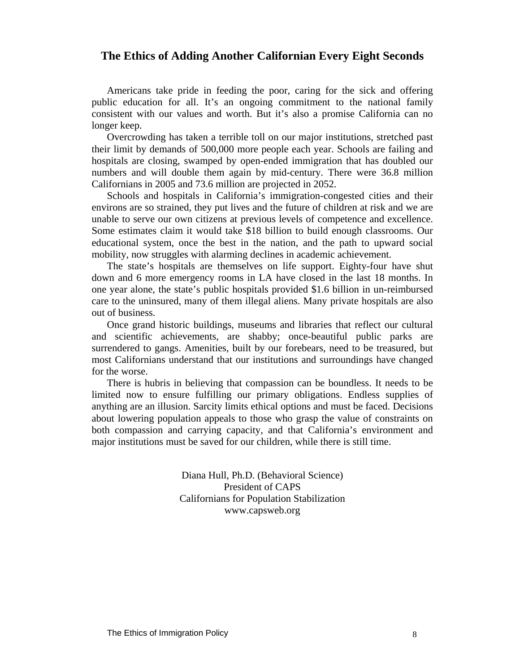## **The Ethics of Adding Another Californian Every Eight Seconds**

Americans take pride in feeding the poor, caring for the sick and offering public education for all. It's an ongoing commitment to the national family consistent with our values and worth. But it's also a promise California can no longer keep.

Overcrowding has taken a terrible toll on our major institutions, stretched past their limit by demands of 500,000 more people each year. Schools are failing and hospitals are closing, swamped by open-ended immigration that has doubled our numbers and will double them again by mid-century. There were 36.8 million Californians in 2005 and 73.6 million are projected in 2052.

Schools and hospitals in California's immigration-congested cities and their environs are so strained, they put lives and the future of children at risk and we are unable to serve our own citizens at previous levels of competence and excellence. Some estimates claim it would take \$18 billion to build enough classrooms. Our educational system, once the best in the nation, and the path to upward social mobility, now struggles with alarming declines in academic achievement.

The state's hospitals are themselves on life support. Eighty-four have shut down and 6 more emergency rooms in LA have closed in the last 18 months. In one year alone, the state's public hospitals provided \$1.6 billion in un-reimbursed care to the uninsured, many of them illegal aliens. Many private hospitals are also out of business.

Once grand historic buildings, museums and libraries that reflect our cultural and scientific achievements, are shabby; once-beautiful public parks are surrendered to gangs. Amenities, built by our forebears, need to be treasured, but most Californians understand that our institutions and surroundings have changed for the worse.

There is hubris in believing that compassion can be boundless. It needs to be limited now to ensure fulfilling our primary obligations. Endless supplies of anything are an illusion. Sarcity limits ethical options and must be faced. Decisions about lowering population appeals to those who grasp the value of constraints on both compassion and carrying capacity, and that California's environment and major institutions must be saved for our children, while there is still time.

> Diana Hull, Ph.D. (Behavioral Science) President of CAPS Californians for Population Stabilization www.capsweb.org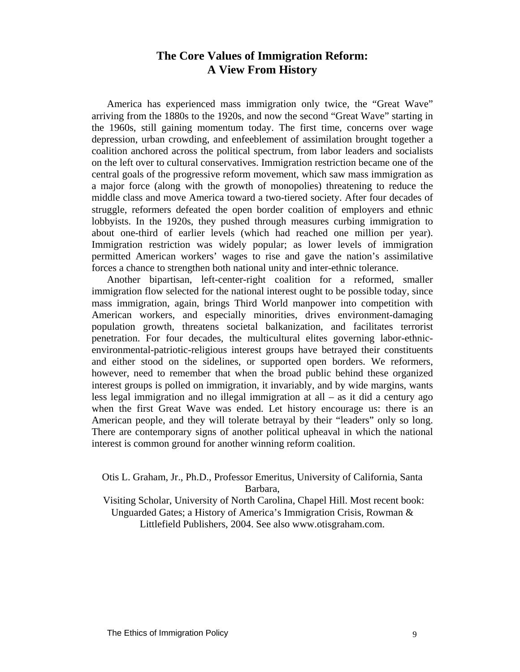## **The Core Values of Immigration Reform: A View From History**

America has experienced mass immigration only twice, the "Great Wave" arriving from the 1880s to the 1920s, and now the second "Great Wave" starting in the 1960s, still gaining momentum today. The first time, concerns over wage depression, urban crowding, and enfeeblement of assimilation brought together a coalition anchored across the political spectrum, from labor leaders and socialists on the left over to cultural conservatives. Immigration restriction became one of the central goals of the progressive reform movement, which saw mass immigration as a major force (along with the growth of monopolies) threatening to reduce the middle class and move America toward a two-tiered society. After four decades of struggle, reformers defeated the open border coalition of employers and ethnic lobbyists. In the 1920s, they pushed through measures curbing immigration to about one-third of earlier levels (which had reached one million per year). Immigration restriction was widely popular; as lower levels of immigration permitted American workers' wages to rise and gave the nation's assimilative forces a chance to strengthen both national unity and inter-ethnic tolerance.

Another bipartisan, left-center-right coalition for a reformed, smaller immigration flow selected for the national interest ought to be possible today, since mass immigration, again, brings Third World manpower into competition with American workers, and especially minorities, drives environment-damaging population growth, threatens societal balkanization, and facilitates terrorist penetration. For four decades, the multicultural elites governing labor-ethnicenvironmental-patriotic-religious interest groups have betrayed their constituents and either stood on the sidelines, or supported open borders. We reformers, however, need to remember that when the broad public behind these organized interest groups is polled on immigration, it invariably, and by wide margins, wants less legal immigration and no illegal immigration at all – as it did a century ago when the first Great Wave was ended. Let history encourage us: there is an American people, and they will tolerate betrayal by their "leaders" only so long. There are contemporary signs of another political upheaval in which the national interest is common ground for another winning reform coalition.

Otis L. Graham, Jr., Ph.D., Professor Emeritus, University of California, Santa Barbara,

 Visiting Scholar, University of North Carolina, Chapel Hill. Most recent book: Unguarded Gates; a History of America's Immigration Crisis, Rowman & Littlefield Publishers, 2004. See also www.otisgraham.com.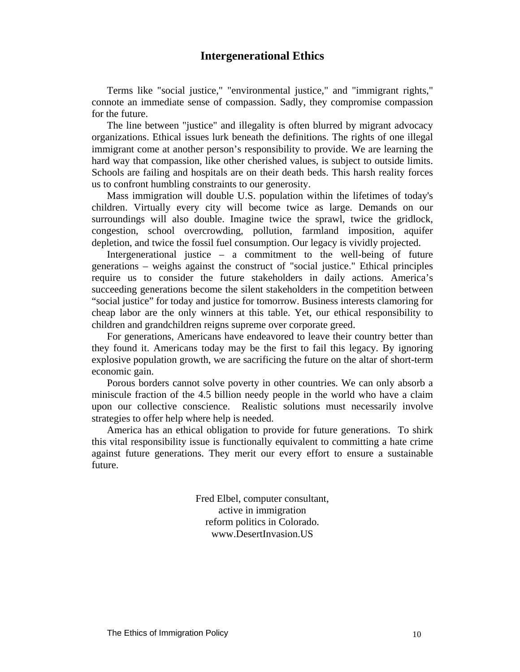## **Intergenerational Ethics**

Terms like "social justice," "environmental justice," and "immigrant rights," connote an immediate sense of compassion. Sadly, they compromise compassion for the future.

The line between "justice" and illegality is often blurred by migrant advocacy organizations. Ethical issues lurk beneath the definitions. The rights of one illegal immigrant come at another person's responsibility to provide. We are learning the hard way that compassion, like other cherished values, is subject to outside limits. Schools are failing and hospitals are on their death beds. This harsh reality forces us to confront humbling constraints to our generosity.

Mass immigration will double U.S. population within the lifetimes of today's children. Virtually every city will become twice as large. Demands on our surroundings will also double. Imagine twice the sprawl, twice the gridlock, congestion, school overcrowding, pollution, farmland imposition, aquifer depletion, and twice the fossil fuel consumption. Our legacy is vividly projected.

Intergenerational justice – a commitment to the well-being of future generations – weighs against the construct of "social justice." Ethical principles require us to consider the future stakeholders in daily actions. America's succeeding generations become the silent stakeholders in the competition between "social justice" for today and justice for tomorrow. Business interests clamoring for cheap labor are the only winners at this table. Yet, our ethical responsibility to children and grandchildren reigns supreme over corporate greed.

For generations, Americans have endeavored to leave their country better than they found it. Americans today may be the first to fail this legacy. By ignoring explosive population growth, we are sacrificing the future on the altar of short-term economic gain.

Porous borders cannot solve poverty in other countries. We can only absorb a miniscule fraction of the 4.5 billion needy people in the world who have a claim upon our collective conscience. Realistic solutions must necessarily involve strategies to offer help where help is needed.

America has an ethical obligation to provide for future generations. To shirk this vital responsibility issue is functionally equivalent to committing a hate crime against future generations. They merit our every effort to ensure a sustainable future.

> Fred Elbel, computer consultant, active in immigration reform politics in Colorado. www.DesertInvasion.US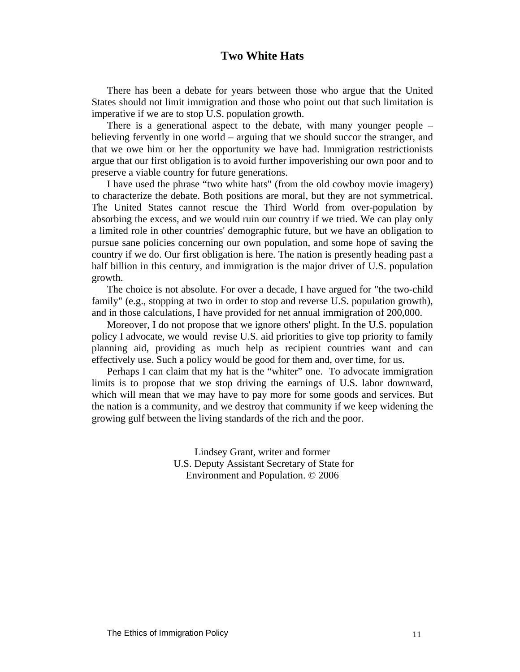## **Two White Hats**

There has been a debate for years between those who argue that the United States should not limit immigration and those who point out that such limitation is imperative if we are to stop U.S. population growth.

There is a generational aspect to the debate, with many younger people – believing fervently in one world – arguing that we should succor the stranger, and that we owe him or her the opportunity we have had. Immigration restrictionists argue that our first obligation is to avoid further impoverishing our own poor and to preserve a viable country for future generations.

I have used the phrase "two white hats" (from the old cowboy movie imagery) to characterize the debate. Both positions are moral, but they are not symmetrical. The United States cannot rescue the Third World from over-population by absorbing the excess, and we would ruin our country if we tried. We can play only a limited role in other countries' demographic future, but we have an obligation to pursue sane policies concerning our own population, and some hope of saving the country if we do. Our first obligation is here. The nation is presently heading past a half billion in this century, and immigration is the major driver of U.S. population growth.

The choice is not absolute. For over a decade, I have argued for "the two-child family" (e.g., stopping at two in order to stop and reverse U.S. population growth), and in those calculations, I have provided for net annual immigration of 200,000.

Moreover, I do not propose that we ignore others' plight. In the U.S. population policy I advocate, we would revise U.S. aid priorities to give top priority to family planning aid, providing as much help as recipient countries want and can effectively use. Such a policy would be good for them and, over time, for us.

Perhaps I can claim that my hat is the "whiter" one. To advocate immigration limits is to propose that we stop driving the earnings of U.S. labor downward, which will mean that we may have to pay more for some goods and services. But the nation is a community, and we destroy that community if we keep widening the growing gulf between the living standards of the rich and the poor.

> Lindsey Grant, writer and former U.S. Deputy Assistant Secretary of State for Environment and Population. © 2006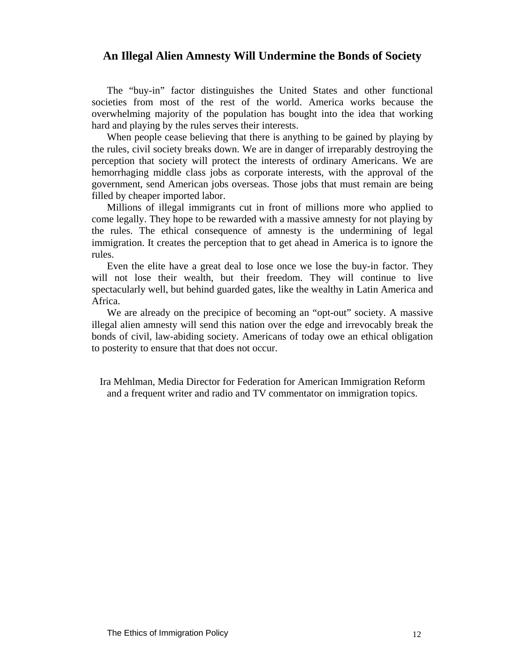## **An Illegal Alien Amnesty Will Undermine the Bonds of Society**

The "buy-in" factor distinguishes the United States and other functional societies from most of the rest of the world. America works because the overwhelming majority of the population has bought into the idea that working hard and playing by the rules serves their interests.

When people cease believing that there is anything to be gained by playing by the rules, civil society breaks down. We are in danger of irreparably destroying the perception that society will protect the interests of ordinary Americans. We are hemorrhaging middle class jobs as corporate interests, with the approval of the government, send American jobs overseas. Those jobs that must remain are being filled by cheaper imported labor.

Millions of illegal immigrants cut in front of millions more who applied to come legally. They hope to be rewarded with a massive amnesty for not playing by the rules. The ethical consequence of amnesty is the undermining of legal immigration. It creates the perception that to get ahead in America is to ignore the rules.

Even the elite have a great deal to lose once we lose the buy-in factor. They will not lose their wealth, but their freedom. They will continue to live spectacularly well, but behind guarded gates, like the wealthy in Latin America and Africa.

We are already on the precipice of becoming an "opt-out" society. A massive illegal alien amnesty will send this nation over the edge and irrevocably break the bonds of civil, law-abiding society. Americans of today owe an ethical obligation to posterity to ensure that that does not occur.

Ira Mehlman, Media Director for Federation for American Immigration Reform and a frequent writer and radio and TV commentator on immigration topics.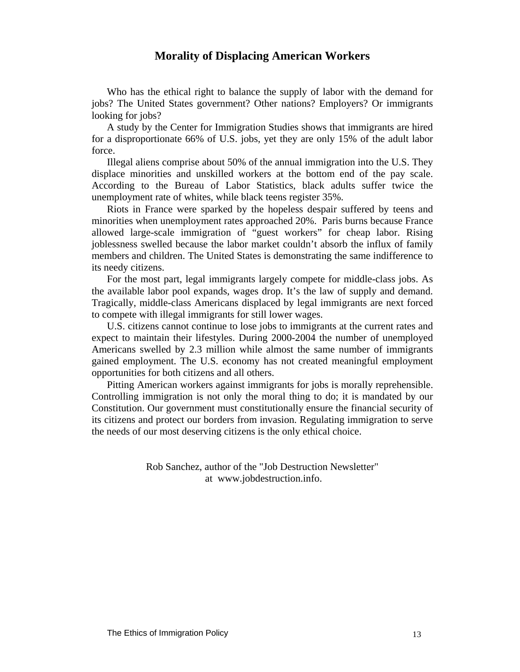## **Morality of Displacing American Workers**

Who has the ethical right to balance the supply of labor with the demand for jobs? The United States government? Other nations? Employers? Or immigrants looking for jobs?

A study by the Center for Immigration Studies shows that immigrants are hired for a disproportionate 66% of U.S. jobs, yet they are only 15% of the adult labor force.

Illegal aliens comprise about 50% of the annual immigration into the U.S. They displace minorities and unskilled workers at the bottom end of the pay scale. According to the Bureau of Labor Statistics, black adults suffer twice the unemployment rate of whites, while black teens register 35%.

Riots in France were sparked by the hopeless despair suffered by teens and minorities when unemployment rates approached 20%. Paris burns because France allowed large-scale immigration of "guest workers" for cheap labor. Rising joblessness swelled because the labor market couldn't absorb the influx of family members and children. The United States is demonstrating the same indifference to its needy citizens.

For the most part, legal immigrants largely compete for middle-class jobs. As the available labor pool expands, wages drop. It's the law of supply and demand. Tragically, middle-class Americans displaced by legal immigrants are next forced to compete with illegal immigrants for still lower wages.

U.S. citizens cannot continue to lose jobs to immigrants at the current rates and expect to maintain their lifestyles. During 2000-2004 the number of unemployed Americans swelled by 2.3 million while almost the same number of immigrants gained employment. The U.S. economy has not created meaningful employment opportunities for both citizens and all others.

Pitting American workers against immigrants for jobs is morally reprehensible. Controlling immigration is not only the moral thing to do; it is mandated by our Constitution. Our government must constitutionally ensure the financial security of its citizens and protect our borders from invasion. Regulating immigration to serve the needs of our most deserving citizens is the only ethical choice.

> Rob Sanchez, author of the "Job Destruction Newsletter" at www.jobdestruction.info.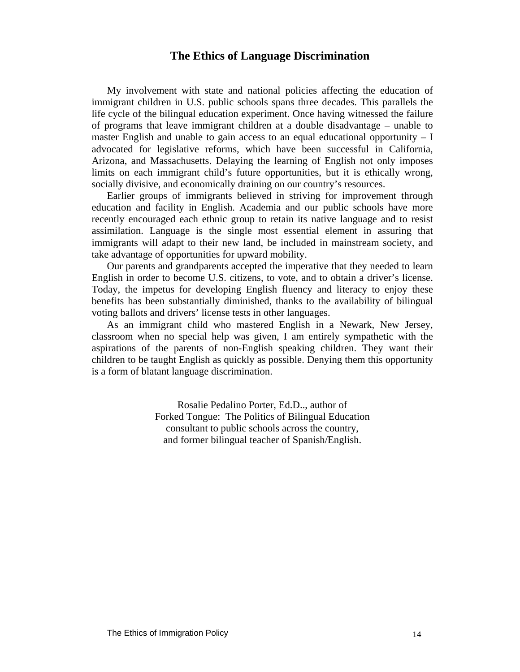## **The Ethics of Language Discrimination**

My involvement with state and national policies affecting the education of immigrant children in U.S. public schools spans three decades. This parallels the life cycle of the bilingual education experiment. Once having witnessed the failure of programs that leave immigrant children at a double disadvantage – unable to master English and unable to gain access to an equal educational opportunity  $- I$ advocated for legislative reforms, which have been successful in California, Arizona, and Massachusetts. Delaying the learning of English not only imposes limits on each immigrant child's future opportunities, but it is ethically wrong, socially divisive, and economically draining on our country's resources.

Earlier groups of immigrants believed in striving for improvement through education and facility in English. Academia and our public schools have more recently encouraged each ethnic group to retain its native language and to resist assimilation. Language is the single most essential element in assuring that immigrants will adapt to their new land, be included in mainstream society, and take advantage of opportunities for upward mobility.

Our parents and grandparents accepted the imperative that they needed to learn English in order to become U.S. citizens, to vote, and to obtain a driver's license. Today, the impetus for developing English fluency and literacy to enjoy these benefits has been substantially diminished, thanks to the availability of bilingual voting ballots and drivers' license tests in other languages.

As an immigrant child who mastered English in a Newark, New Jersey, classroom when no special help was given, I am entirely sympathetic with the aspirations of the parents of non-English speaking children. They want their children to be taught English as quickly as possible. Denying them this opportunity is a form of blatant language discrimination.

> Rosalie Pedalino Porter, Ed.D.., author of Forked Tongue: The Politics of Bilingual Education consultant to public schools across the country, and former bilingual teacher of Spanish/English.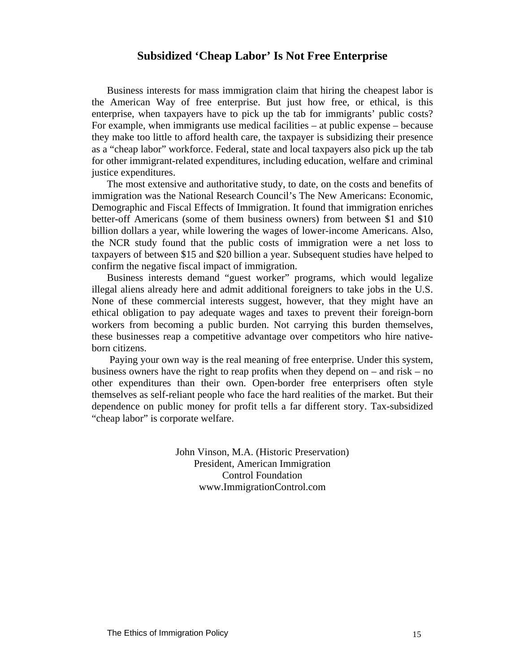## **Subsidized 'Cheap Labor' Is Not Free Enterprise**

Business interests for mass immigration claim that hiring the cheapest labor is the American Way of free enterprise. But just how free, or ethical, is this enterprise, when taxpayers have to pick up the tab for immigrants' public costs? For example, when immigrants use medical facilities – at public expense – because they make too little to afford health care, the taxpayer is subsidizing their presence as a "cheap labor" workforce. Federal, state and local taxpayers also pick up the tab for other immigrant-related expenditures, including education, welfare and criminal justice expenditures.

The most extensive and authoritative study, to date, on the costs and benefits of immigration was the National Research Council's The New Americans: Economic, Demographic and Fiscal Effects of Immigration. It found that immigration enriches better-off Americans (some of them business owners) from between \$1 and \$10 billion dollars a year, while lowering the wages of lower-income Americans. Also, the NCR study found that the public costs of immigration were a net loss to taxpayers of between \$15 and \$20 billion a year. Subsequent studies have helped to confirm the negative fiscal impact of immigration.

Business interests demand "guest worker" programs, which would legalize illegal aliens already here and admit additional foreigners to take jobs in the U.S. None of these commercial interests suggest, however, that they might have an ethical obligation to pay adequate wages and taxes to prevent their foreign-born workers from becoming a public burden. Not carrying this burden themselves, these businesses reap a competitive advantage over competitors who hire nativeborn citizens.

 Paying your own way is the real meaning of free enterprise. Under this system, business owners have the right to reap profits when they depend on – and risk – no other expenditures than their own. Open-border free enterprisers often style themselves as self-reliant people who face the hard realities of the market. But their dependence on public money for profit tells a far different story. Tax-subsidized "cheap labor" is corporate welfare.

> John Vinson, M.A. (Historic Preservation) President, American Immigration Control Foundation www.ImmigrationControl.com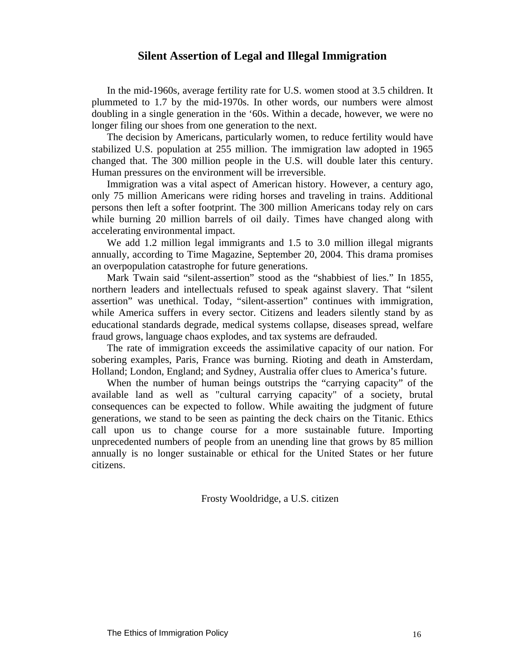## **Silent Assertion of Legal and Illegal Immigration**

In the mid-1960s, average fertility rate for U.S. women stood at 3.5 children. It plummeted to 1.7 by the mid-1970s. In other words, our numbers were almost doubling in a single generation in the '60s. Within a decade, however, we were no longer filing our shoes from one generation to the next.

The decision by Americans, particularly women, to reduce fertility would have stabilized U.S. population at 255 million. The immigration law adopted in 1965 changed that. The 300 million people in the U.S. will double later this century. Human pressures on the environment will be irreversible.

Immigration was a vital aspect of American history. However, a century ago, only 75 million Americans were riding horses and traveling in trains. Additional persons then left a softer footprint. The 300 million Americans today rely on cars while burning 20 million barrels of oil daily. Times have changed along with accelerating environmental impact.

We add 1.2 million legal immigrants and 1.5 to 3.0 million illegal migrants annually, according to Time Magazine, September 20, 2004. This drama promises an overpopulation catastrophe for future generations.

Mark Twain said "silent-assertion" stood as the "shabbiest of lies." In 1855, northern leaders and intellectuals refused to speak against slavery. That "silent assertion" was unethical. Today, "silent-assertion" continues with immigration, while America suffers in every sector. Citizens and leaders silently stand by as educational standards degrade, medical systems collapse, diseases spread, welfare fraud grows, language chaos explodes, and tax systems are defrauded.

The rate of immigration exceeds the assimilative capacity of our nation. For sobering examples, Paris, France was burning. Rioting and death in Amsterdam, Holland; London, England; and Sydney, Australia offer clues to America's future.

When the number of human beings outstrips the "carrying capacity" of the available land as well as "cultural carrying capacity" of a society, brutal consequences can be expected to follow. While awaiting the judgment of future generations, we stand to be seen as painting the deck chairs on the Titanic. Ethics call upon us to change course for a more sustainable future. Importing unprecedented numbers of people from an unending line that grows by 85 million annually is no longer sustainable or ethical for the United States or her future citizens.

Frosty Wooldridge, a U.S. citizen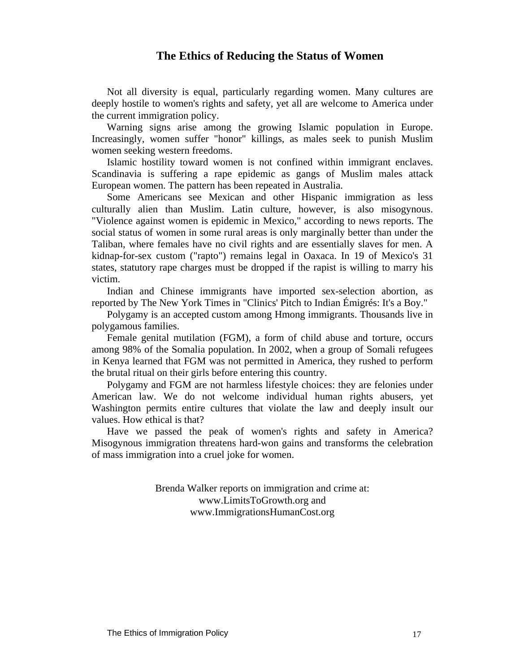## **The Ethics of Reducing the Status of Women**

Not all diversity is equal, particularly regarding women. Many cultures are deeply hostile to women's rights and safety, yet all are welcome to America under the current immigration policy.

Warning signs arise among the growing Islamic population in Europe. Increasingly, women suffer "honor" killings, as males seek to punish Muslim women seeking western freedoms.

Islamic hostility toward women is not confined within immigrant enclaves. Scandinavia is suffering a rape epidemic as gangs of Muslim males attack European women. The pattern has been repeated in Australia.

Some Americans see Mexican and other Hispanic immigration as less culturally alien than Muslim. Latin culture, however, is also misogynous. "Violence against women is epidemic in Mexico," according to news reports. The social status of women in some rural areas is only marginally better than under the Taliban, where females have no civil rights and are essentially slaves for men. A kidnap-for-sex custom ("rapto") remains legal in Oaxaca. In 19 of Mexico's 31 states, statutory rape charges must be dropped if the rapist is willing to marry his victim.

Indian and Chinese immigrants have imported sex-selection abortion, as reported by The New York Times in "Clinics' Pitch to Indian Émigrés: It's a Boy."

Polygamy is an accepted custom among Hmong immigrants. Thousands live in polygamous families.

Female genital mutilation (FGM), a form of child abuse and torture, occurs among 98% of the Somalia population. In 2002, when a group of Somali refugees in Kenya learned that FGM was not permitted in America, they rushed to perform the brutal ritual on their girls before entering this country.

Polygamy and FGM are not harmless lifestyle choices: they are felonies under American law. We do not welcome individual human rights abusers, yet Washington permits entire cultures that violate the law and deeply insult our values. How ethical is that?

Have we passed the peak of women's rights and safety in America? Misogynous immigration threatens hard-won gains and transforms the celebration of mass immigration into a cruel joke for women.

> Brenda Walker reports on immigration and crime at: www.LimitsToGrowth.org and www.ImmigrationsHumanCost.org